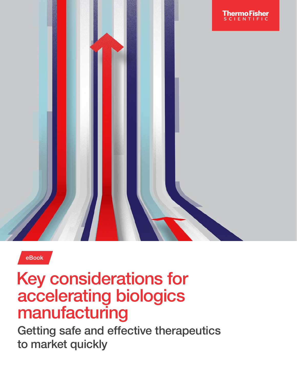

eBook

# Key considerations for accelerating biologics manufacturing

Getting safe and effective therapeutics to market quickly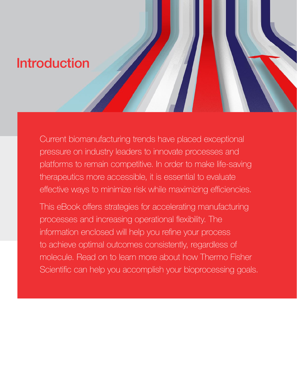# Introduction

Current biomanufacturing trends have placed exceptional pressure on industry leaders to innovate processes and platforms to remain competitive. In order to make life-saving therapeutics more accessible, it is essential to evaluate effective ways to minimize risk while maximizing efficiencies.

This eBook offers strategies for accelerating manufacturing processes and increasing operational flexibility. The information enclosed will help you refine your process to achieve optimal outcomes consistently, regardless of molecule. Read on to learn more about how Thermo Fisher Scientific can help you accomplish your bioprocessing goals.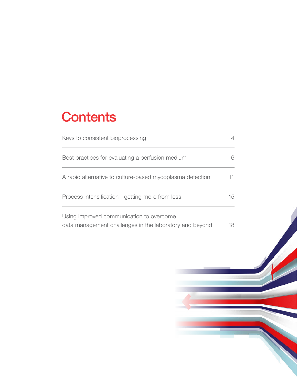# **Contents**

| Keys to consistent bioprocessing                                                                    |    |
|-----------------------------------------------------------------------------------------------------|----|
| Best practices for evaluating a perfusion medium                                                    |    |
| A rapid alternative to culture-based mycoplasma detection                                           |    |
| Process intensification-getting more from less                                                      | 15 |
| Using improved communication to overcome<br>data management challenges in the laboratory and beyond | 18 |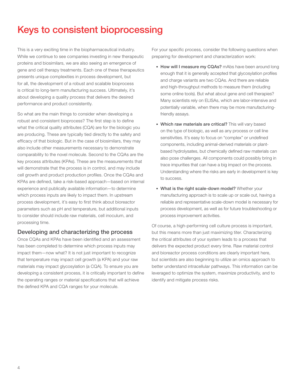## Keys to consistent bioprocessing

This is a very exciting time in the biopharmaceutical industry. While we continue to see companies investing in new therapeutic proteins and biosimilars, we are also seeing an emergence of gene and cell therapy treatments. Each one of these therapeutics presents unique complexities in process development, but for all, the development of a robust and scalable bioprocess is critical to long-term manufacturing success. Ultimately, it's about developing a quality process that delivers the desired performance and product consistently.

So what are the main things to consider when developing a robust and consistent bioprocess? The first step is to define what the critical quality attributes (CQA) are for the biologic you are producing. These are typically tied directly to the safety and efficacy of that biologic. But in the case of biosimilars, they may also include other measurements necessary to demonstrate comparability to the novel molecule. Second to the CQAs are the key process attributes (KPAs). These are the measurements that will demonstrate that the process is in control, and may include cell growth and product production profiles. Once the CQAs and KPAs are defined, take a risk-based approach—based on internal experience and publically available information—to determine which process inputs are likely to impact them. In upstream process development, it's easy to first think about bioreactor parameters such as pH and temperature, but additional inputs to consider should include raw materials, cell inoculum, and processing time.

#### Developing and characterizing the process

Once CQAs and KPAs have been identified and an assessment has been completed to determine which process inputs may impact them—now what? It is not just important to recognize that temperature may impact cell growth (a KPA) and your raw materials may impact glycosylation (a CQA). To ensure you are developing a consistent process, it is critically important to define the operating ranges or material specifications that will achieve the defined KPA and CQA ranges for your molecule.

For your specific process, consider the following questions when preparing for development and characterization work:

- How will I measure my CQAs? mAbs have been around long enough that it is generally accepted that glycosylation profiles and charge variants are two CQAs. And there are reliable and high-throughput methods to measure them (including some online tools). But what about gene and cell therapies? Many scientists rely on ELISAs, which are labor-intensive and potentially variable, when there may be more manufacturingfriendly assays.
- Which raw materials are critical? This will vary based on the type of biologic, as well as any process or cell line sensitivities. It's easy to focus on "complex" or undefined components, including animal-derived materials or plantbased hydrolysates, but chemically defined raw materials can also pose challenges. All components could possibly bring in trace impurities that can have a big impact on the process. Understanding where the risks are early in development is key to success.
- What is the right scale-down model? Whether your manufacturing approach is to scale up or scale out, having a reliable and representative scale-down model is necessary for process development, as well as for future troubleshooting or process improvement activities.

Of course, a high-performing cell culture process is important, but this means more than just maximizing titer. Characterizing the critical attributes of your system leads to a process that delivers the expected product every time. Raw material control and bioreactor process conditions are clearly important here, but scientists are also beginning to utilize an omics approach to better understand intracellular pathways. This information can be leveraged to optimize the system, maximize productivity, and to identify and mitigate process risks.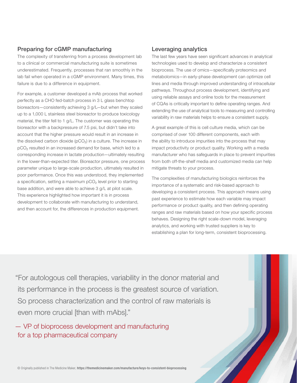#### Preparing for cGMP manufacturing

The complexity of transferring from a process development lab to a clinical or commercial manufacturing suite is sometimes underestimated. Frequently, processes that ran smoothly in the lab fail when operated in a cGMP environment. Many times, this failure is due to a difference in equipment.

For example, a customer developed a mAb process that worked perfectly as a CHO fed-batch process in 3 L glass benchtop bioreactors—consistently achieving 3 g/L—but when they scaled up to a 1,000 L stainless steel bioreactor to produce toxicology material, the titer fell to 1 g/L. The customer was operating this bioreactor with a backpressure of 7.5 psi, but didn't take into account that the higher pressure would result in an increase in the dissolved carbon dioxide  $(pCO<sub>2</sub>)$  in a culture. The increase in pCO₂ resulted in an increased demand for base, which led to a corresponding increase in lactate production—ultimately resulting in the lower-than-expected titer. Bioreactor pressure, one process parameter unique to large-scale production, ultimately resulted in poor performance. Once this was understood, they implemented a specification, setting a maximum pCO₂ level prior to starting base addition, and were able to achieve 3 g/L at pilot scale. This experience highlighted how important it is in process development to collaborate with manufacturing to understand, and then account for, the differences in production equipment.

#### Leveraging analytics

The last few years have seen significant advances in analytical technologies used to develop and characterize a consistent bioprocess. The use of omics—specifically proteomics and metabolomics—in early-phase development can optimize cell lines and media through improved understanding of intracellular pathways. Throughout process development, identifying and using reliable assays and online tools for the measurement of CQAs is critically important to define operating ranges. And extending the use of analytical tools to measuring and controlling variability in raw materials helps to ensure a consistent supply.

A great example of this is cell culture media, which can be comprised of over 100 different components, each with the ability to introduce impurities into the process that may impact productivity or product quality. Working with a media manufacturer who has safeguards in place to prevent impurities from both off-the-shelf media and customized media can help mitigate threats to your process.

The complexities of manufacturing biologics reinforces the importance of a systematic and risk-based approach to developing a consistent process. This approach means using past experience to estimate how each variable may impact performance or product quality, and then defining operating ranges and raw materials based on how your specific process behaves. Designing the right scale-down model, leveraging analytics, and working with trusted suppliers is key to establishing a plan for long-term, consistent bioprocessing.

"For autologous cell therapies, variability in the donor material and its performance in the process is the greatest source of variation. So process characterization and the control of raw materials is even more crucial [than with mAbs]."

— VP of bioprocess development and manufacturing for a top pharmaceutical company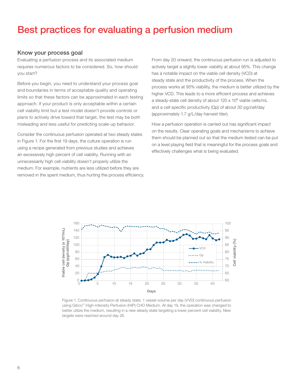### Best practices for evaluating a perfusion medium

#### Know your process goal

Evaluating a perfusion process and its associated medium requires numerous factors to be considered. So, how should you start?

Before you begin, you need to understand your process goal and boundaries in terms of acceptable quality and operating limits so that these factors can be approximated in each testing approach. If your product is only acceptable within a certain cell viability limit but a test model doesn't provide controls or plans to actively drive toward that target, the test may be both misleading and less useful for predicting scale-up behavior.

Consider the continuous perfusion operated at two steady states in Figure 1. For the first 19 days, the culture operation is run using a recipe generated from previous studies and achieves an excessively high percent of cell viability. Running with an unnecessarily high cell viability doesn't properly utilize the medium. For example, nutrients are less utilized before they are removed in the spent medium, thus hurting the process efficiency. From day 20 onward, the continuous perfusion run is adjusted to actively target a slightly lower viability at about 95%. This change has a notable impact on the viable cell density (VCD) at steady state and the productivity of the process. When the process works at 95% viability, the medium is better utilized by the higher VCD. This leads to a more efficient process and achieves a steady-state cell density of about  $120 \times 10^6$  viable cells/mL and a cell specific productivity (Qp) of about 30 pg/cell/day (approximately 1.7 g/L/day harvest titer).

How a perfusion operation is carried out has significant impact on the results. Clear operating goals and mechanisms to achieve them should be planned out so that the medium tested can be put on a level playing field that is meaningful for the process goals and effectively challenges what is being evaluated.



Figure 1. Continuous perfusion at steady state. 1 vessel volume per day (VVD) continuous perfusion using Gibco™ High-Intensity Perfusion (HIP) CHO Medium. At day 19, the operation was changed to better utilize the medium, resulting in a new steady state targeting a lower percent cell viability. New targets were reached around day 26.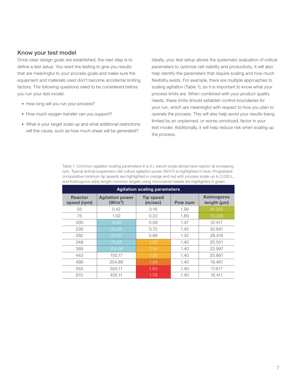#### Know your test model

Once clear design goals are established, the next step is to define a test setup. You want the testing to give you results that are meaningful to your process goals and make sure the equipment and materials used don't become accidental limiting factors. The following questions need to be considered before you run your test model:

- How long will you run your process?
- How much oxygen transfer can you support?
- What is your target scale-up and what additional restrictions will this cause, such as how much shear will be generated?

Ideally, your test setup allows the systematic evaluation of critical parameters to optimize cell viability and productivity. It will also help identify the parameters that require scaling and how much flexibility exists. For example, there are multiple approaches to scaling agitation (Table 1), so it is important to know what your process limits are. When combined with your product quality needs, these limits should establish control boundaries for your run, which are meaningful with respect to how you plan to operate the process. This will also help avoid your results being limited by an unplanned, or worse unnoticed, factor in your test model. Additionally, it will help reduce risk when scaling up the process.

Table 1. Common agitation scaling parameters in a 3 L bench-scale stirred-tank reactor at increasing rpm. Typical animal suspension cell culture agitation power (W/m<sup>3</sup>) is highlighted in blue. Progressive comparative minimum tip speeds are highlighted in orange and red with process scale-up to 2,000 L, and Kolmogorov eddy length common targets using microcarrier beads are highlighted in green.

| <b>Agitation scaling parameters</b> |                                     |                             |         |                           |  |
|-------------------------------------|-------------------------------------|-----------------------------|---------|---------------------------|--|
| <b>Reactor</b><br>speed (rpm)       | <b>Agitation power</b><br>$(W/m^3)$ | <b>Tip speed</b><br>(m/sec) | Pow num | Kolmogorov<br>length (µm) |  |
| 55                                  | 0.42                                | 0.16                        | 1.99    | 91.345                    |  |
| 75                                  | 1.02                                | 0.22                        | 1.89    | 73,326                    |  |
| 200                                 | 14.99                               | 0.59                        | 1.47    | 37.417                    |  |
| 239                                 | 25.26                               | 0.70                        | 1.45    | 32.841                    |  |
| 292                                 | 45.07                               | 0.86                        | 1.42    | 28.416                    |  |
| 348                                 | 75.22                               | 1.02                        | 1.40    | 25,001                    |  |
| 389                                 | 105.06                              | 1.14                        | 1.40    | 22.997                    |  |
| 443                                 | 155.17                              | 1.30                        | 1.40    | 20.861                    |  |
| 486                                 | 204.88                              | 1.43                        | 1.40    | 19.461                    |  |
| 555                                 | 305.11                              | 1.63                        | 1.40    | 17.617                    |  |
| 610                                 | 405.11                              | 1.79                        | 1.40    | 16.411                    |  |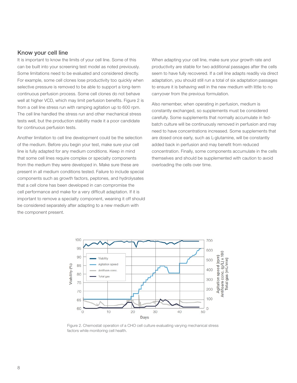#### Know your cell line

It is important to know the limits of your cell line. Some of this can be built into your screening test model as noted previously. Some limitations need to be evaluated and considered directly. For example, some cell clones lose productivity too quickly when selective pressure is removed to be able to support a long-term continuous perfusion process. Some cell clones do not behave well at higher VCD, which may limit perfusion benefits. Figure 2 is from a cell line stress run with ramping agitation up to 600 rpm. The cell line handled the stress run and other mechanical stress tests well, but the production stability made it a poor candidate for continuous perfusion tests.

Another limitation to cell line development could be the selection of the medium. Before you begin your test, make sure your cell line is fully adapted for any medium conditions. Keep in mind that some cell lines require complex or specialty components from the medium they were developed in. Make sure these are present in all medium conditions tested. Failure to include special components such as growth factors, peptones, and hydrolysates that a cell clone has been developed in can compromise the cell performance and make for a very difficult adaptation. If it is important to remove a specialty component, weaning it off should be considered separately after adapting to a new medium with the component present.

When adapting your cell line, make sure your growth rate and productivity are stable for two additional passages after the cells seem to have fully recovered. If a cell line adapts readily via direct adaptation, you should still run a total of six adaptation passages to ensure it is behaving well in the new medium with little to no carryover from the previous formulation.

Also remember, when operating in perfusion, medium is constantly exchanged, so supplements must be considered carefully. Some supplements that normally accumulate in fedbatch culture will be continuously removed in perfusion and may need to have concentrations increased. Some supplements that are dosed once early, such as L-glutamine, will be constantly added back in perfusion and may benefit from reduced concentration. Finally, some components accumulate in the cells themselves and should be supplemented with caution to avoid overloading the cells over time.



Figure 2. Chemostat operation of a CHO cell culture evaluating varying mechanical stress factors while monitoring cell health.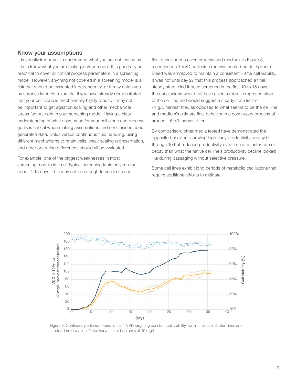#### Know your assumptions

It is equally important to understand what you are not testing as it is to know what you are testing in your model. It is generally not practical to cover all critical process parameters in a screening model. However, anything not covered in a screening model is a risk that should be evaluated independently, or it may catch you by surprise later. For example, if you have already demonstrated that your cell clone is mechanically highly robust, it may not be important to get agitation scaling and other mechanical stress factors right in your screening model. Having a clear understanding of what risks mean for your cell clone and process goals is critical when making assumptions and conclusions about generated data. Bolus versus continuous fluid handling, using different mechanisms to retain cells, weak scaling representation, and other operating differences should all be evaluated.

For example, one of the biggest weaknesses in most screening models is time. Typical screening tests only run for about 7–15 days. This may not be enough to see limits and

final behavior of a given process and medium. In Figure 3, a continuous 1 VVD perfusion run was carried out in triplicate. Bleed was employed to maintain a consistent ~97% cell viability. It was not until day 27 that this process approached a final steady state. Had it been screened in the first 10 to 15 days, the conclusions would not have given a realistic representation of the cell line and would suggest a steady state limit of ~1 g/L harvest titer, as opposed to what seems to be the cell line and medium's ultimate final behavior in a continuous process of around 1.6 g/L harvest titer.

By comparison, other media tested have demonstrated the opposite behavior—showing high early productivity on day 0 through 10 but reduced productivity over time at a faster rate of decay than what the native cell line's productivity decline looked like during passaging without selective pressure.

Some cell lines exhibit long periods of metabolic oscillations that require additional efforts to mitigate.



Figure 3. Continous perfusion operation at 1 VVD targeting constant cell viability, run in triplicate. Dotted lines are ±1 standard deviation. Note: harvest titer is in units of 10 mg/L.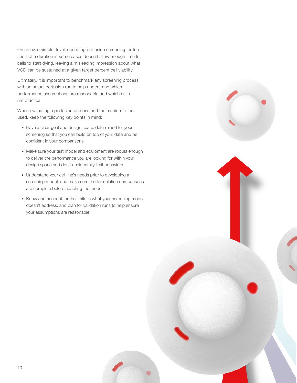On an even simpler level, operating perfusion screening for too short of a duration in some cases doesn't allow enough time for cells to start dying, leaving a misleading impression about what VCD can be sustained at a given target percent cell viability.

Ultimately, it is important to benchmark any screening process with an actual perfusion run to help understand which performance assumptions are reasonable and which risks are practical.

When evaluating a perfusion process and the medium to be used, keep the following key points in mind:

- Have a clear goal and design space determined for your screening so that you can build on top of your data and be confident in your comparisons
- Make sure your test model and equipment are robust enough to deliver the performance you are looking for within your design space and don't accidentally limit behaviors
- Understand your cell line's needs prior to developing a screening model, and make sure the formulation comparisons are complete before adapting the model
- Know and account for the limits in what your screening model doesn't address, and plan for validation runs to help ensure your assumptions are reasonable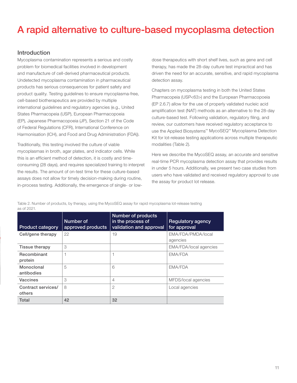## A rapid alternative to culture-based mycoplasma detection

#### **Introduction**

Mycoplasma contamination represents a serious and costly problem for biomedical facilities involved in development and manufacture of cell-derived pharmaceutical products. Undetected mycoplasma contamination in pharmaceutical products has serious consequences for patient safety and product quality. Testing guidelines to ensure mycoplasma-free, cell-based biotherapeutics are provided by multiple international guidelines and regulatory agencies (e.g., United States Pharmacopeia (USP), European Pharmacopoeia (EP), Japanese Pharmacopoeia (JP), Section 21 of the Code of Federal Regulations (CFR), International Conference on Harmonisation (ICH), and Food and Drug Administration (FDA)).

Traditionally, this testing involved the culture of viable mycoplasmas in broth, agar plates, and indicator cells. While this is an efficient method of detection, it is costly and timeconsuming (28 days), and requires specialized training to interpret the results. The amount of on-test time for these culture-based assays does not allow for timely decision-making during routine, in-process testing. Additionally, the emergence of single- or lowdose therapeutics with short shelf lives, such as gene and cell therapy, has made the 28-day culture test impractical and has driven the need for an accurate, sensitive, and rapid mycoplasma detection assay.

Chapters on mycoplasma testing in both the United States Pharmacopeia (USP<63>) and the European Pharmacopoeia (EP 2.6.7) allow for the use of properly validated nucleic acid amplification test (NAT) methods as an alternative to the 28-day culture-based test. Following validation, regulatory filing, and review, our customers have received regulatory acceptance to use the Applied Biosystems™ MycoSEQ™ Mycoplasma Detection Kit for lot-release testing applications across multiple therapeutic modalities (Table 2).

Here we describe the MycoSEQ assay, an accurate and sensitive real-time PCR mycoplasma detection assay that provides results in under 5 hours. Additionally, we present two case studies from users who have validated and received regulatory approval to use the assay for product lot release.

Table 2. Number of products, by therapy, using the MycoSEQ assay for rapid mycoplasma lot-release testing as of 2021.

| <b>Product category</b>      | Number of<br>approved products | <b>Number of products</b><br>in the process of<br>validation and approval | <b>Regulatory agency</b><br>for approval |
|------------------------------|--------------------------------|---------------------------------------------------------------------------|------------------------------------------|
| Cell/gene therapy            | 22                             | 19                                                                        | EMA/FDA/PMDA/local<br>agencies           |
| Tissue therapy               | 3                              |                                                                           | EMA/FDA/local agencies                   |
| Recombinant<br>protein       |                                |                                                                           | EMA/FDA                                  |
| Monoclonal<br>antibodies     | 5                              | 6                                                                         | EMA/FDA                                  |
| Vaccines                     | 3                              | 4                                                                         | MFDS/local agencies                      |
| Contract services/<br>others | 8                              | $\overline{2}$                                                            | Local agencies                           |
| Total                        | 42                             | 32                                                                        |                                          |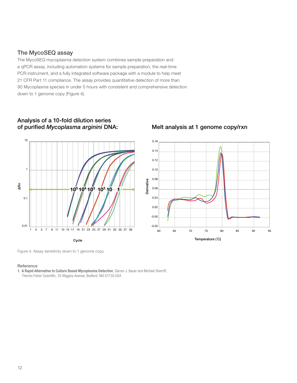#### The MycoSEQ assay

The MycoSEQ mycoplasma detection system combines sample preparation and a qPCR assay, including automation systems for sample preparation, the real-time PCR instrument, and a fully integrated software package with a module to help meet 21 CFR Part 11 compliance. The assay provides quantitative detection of more than 90 Mycoplasma species in under 5 hours with consistent and comprehensive detection down to 1 genome copy (Figure 4).

# ∆Rn 10 1 0.1  $0.01$  -0.02  $-0.02$  -0.02  $-0.02$  -0.02  $-0.02$  -0.02  $-0.02$  -0.02  $-0.02$  -0.02  $-0.02$  -0.02  $-0.02$  -0.02  $-0.02$  -0.02  $-0.02$  -0.02  $-0.02$  -0.02  $-0.02$  -0.02  $-0.02$  -0.02  $-0.02$  -0.02  $-0.02$  -0.02  $-0.02$  -0.0 10<sup>5</sup> 10<sup>4</sup> 10<sup>3</sup> 10<sup>2</sup> 10 *1* 0.01 -0.02

#### *-*<br>urified Mycoplasma arginini DNA: Melt analysis at 1 genome copy/rxn Analysis of a 10-fold dilution series Analysis of a 10-fold dilution Series Analysis of a 10-fold dilution Series of purified Mycoplasma arginini DNA: Melt analysis at 1 genome copy

Figure 4. Assay sensitivity down to 1 genome copy.

#### Reference

1. [A Rapid Alternative to Culture Based Mycoplasma Detection](https://assets.thermofisher.com/TFS-Assets/BPD/posters/rapid-alternative-culture-based-mycoplasma-detection-scientific-poster.pdf), Darren J. Bauer and Michael Sherriff, Thermo Fisher Scientific, 35 Wiggins Avenue, Bedford, MA 01730 USA



12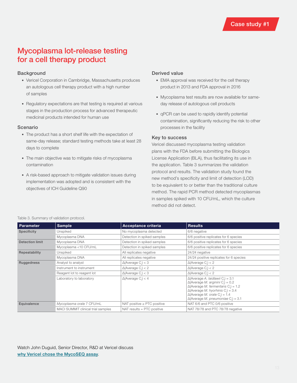### Mycoplasma lot-release testing for a cell therapy product

#### Background

- Vericel Corporation in Cambridge, Massachusetts produces an autologous cell therapy product with a high number of samples
- Regulatory expectations are that testing is required at various stages in the production process for advanced therapeutic medicinal products intended for human use

#### Scenario

- The product has a short shelf life with the expectation of same-day release; standard testing methods take at least 28 days to complete
- The main objective was to mitigate risks of mycoplasma contamination
- A risk-based approach to mitigate validation issues during implementation was adopted and is consistent with the objectives of ICH Guideline Q90

#### Derived value

- EMA approval was received for the cell therapy product in 2013 and FDA approval in 2016
- Mycoplasma test results are now available for sameday release of autologous cell products
- qPCR can be used to rapidly identify potential contamination, significantly reducing the risk to other processes in the facility

#### Key to success

Vericel discussed mycoplasma testing validation plans with the FDA before submitting the Biologics License Application (BLA), thus facilitating its use in the application. Table 3 summarizes the validation protocol and results. The validation study found the new method's specificity and limit of detection (LOD) to be equivalent to or better than the traditional culture method. The rapid PCR method detected mycoplasmas in samples spiked with 10 CFU/mL, which the culture method did not detect.

| <b>Parameter</b>       | <b>Sample</b>                      | Acceptance criteria                    | <b>Results</b>                                                                                                                                                                                                                                                                              |
|------------------------|------------------------------------|----------------------------------------|---------------------------------------------------------------------------------------------------------------------------------------------------------------------------------------------------------------------------------------------------------------------------------------------|
| <b>Specificity</b>     | Unspiked                           | No mycoplasma detected                 | 6/6 negative                                                                                                                                                                                                                                                                                |
|                        | Mycoplasma DNA                     | Detection in spiked samples            | 6/6 positive replicates for 6 species                                                                                                                                                                                                                                                       |
| <b>Detection limit</b> | Mycoplasma DNA                     | Detection in spiked samples            | 6/6 positive replicates for 6 species                                                                                                                                                                                                                                                       |
|                        | Mycoplasma <10 CFU/mL              | Detection in spiked samples            | 6/6 positive replicates for 6 species                                                                                                                                                                                                                                                       |
| Repeatability          | Unspiked                           | All replicates negative                | 24/24 negative                                                                                                                                                                                                                                                                              |
|                        | Mycoplasma DNA                     | All replicates negative                | 24/24 positive replicates for 6 species                                                                                                                                                                                                                                                     |
| Ruggedness             | Analyst to analyst                 | $\Delta$ (Average C.) < 3              | $\Delta$ (Average C.) < 2                                                                                                                                                                                                                                                                   |
|                        | Instrument to instrument           | $\Delta$ (Average C <sub>.</sub> ) < 2 | $\Delta$ (Average C <sub>.</sub> ) < 2                                                                                                                                                                                                                                                      |
|                        | Reagent lot to reagent lot         | $\Delta$ (Average C <sub>i</sub> ) < 3 | $\Delta$ (Average C.) < 2                                                                                                                                                                                                                                                                   |
|                        | Laboratory to laboratory           | $\Delta$ (Average C <sub>i</sub> ) < 4 | $\Delta$ (Average A. laidlawii C.) = 3.1<br>$\Delta$ (Average M. arginini C.) = 0.2<br>$\Delta$ (Average M. fermentans C.) = 1.2<br>$\Delta$ (Average M. hyorhinis C <sub>i</sub> ) = 3.4<br>$\Delta$ (Average M. orale C <sub>1</sub> ) = 1.4<br>$\Delta$ (Average M. pneumoniae C.) = 3.1 |
| Equivalence            | Mycoplasma orale 7 CFU/mL          | NAT positive $\ge$ PTC positive        | NAT 6/6 and PTC 0/6 positive                                                                                                                                                                                                                                                                |
|                        | MACI SUMMIT clinical trial samples | NAT results $=$ PTC positive           | NAT 78/78 and PTC 78/78 negative                                                                                                                                                                                                                                                            |

#### Table 3. Summary of validation protocol.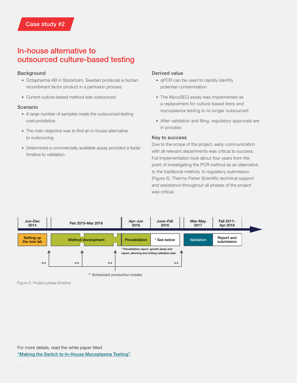### In-house alternative to outsourced culture-based testing

#### Background

- Octapharma AB in Stockholm, Sweden produces a human recombinant factor product in a perfusion process
- Current culture-based method was outsourced

#### Scenario

- A large number of samples made the outsourced testing cost-prohibitive
- The main objective was to find an in-house alternative to outsourcing
- Determined a commercially available assay provided a faster timeline to validation

#### Derived value

- qPCR can be used to rapidly identify potential contamination
- The MycoSEQ assay was implemented as a replacement for culture-based tests and mycoplasma testing is no longer outsourced
- After validation and filing, regulatory approvals are in process

#### Key to success

Due to the scope of the project, early communication with all relevant departments was critical to success. Full implementation took about four years from the point of investigating the PCR method as an alternative to the traditional method, to regulatory submission (Figure 5). Thermo Fisher Scientific technical support and assistance throughout all phases of the project was critical.



\*\* Scheduled production breaks

Figure 5. Project phase timeline.

For more details, read the white paper titled ["Making the Switch to In-House Mycoplasma Testing"](https://www.americanpharmaceuticalreview.com/573528-White-paper-Making-Switch-InHouse-Mycoplasma-Testing/).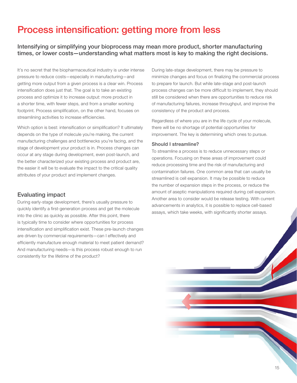## Process intensification: getting more from less

#### Intensifying or simplifying your bioprocess may mean more product, shorter manufacturing times, or lower costs—understanding what matters most is key to making the right decisions.

It's no secret that the biopharmaceutical industry is under intense pressure to reduce costs—especially in manufacturing—and getting more output from a given process is a clear win. Process intensification does just that. The goal is to take an existing process and optimize it to increase output: more product in a shorter time, with fewer steps, and from a smaller working footprint. Process simplification, on the other hand, focuses on streamlining activities to increase efficiencies.

Which option is best: intensification or simplification? It ultimately depends on the type of molecule you're making, the current manufacturing challenges and bottlenecks you're facing, and the stage of development your product is in. Process changes can occur at any stage during development, even post-launch, and the better characterized your existing process and product are, the easier it will be to evaluate the impact to the critical quality attributes of your product and implement changes.

#### Evaluating impact

During early-stage development, there's usually pressure to quickly identify a first-generation process and get the molecule into the clinic as quickly as possible. After this point, there is typically time to consider where opportunities for process intensification and simplification exist. These pre-launch changes are driven by commercial requirements—can I effectively and efficiently manufacture enough material to meet patient demand? And manufacturing needs—is this process robust enough to run consistently for the lifetime of the product?

During late-stage development, there may be pressure to minimize changes and focus on finalizing the commercial process to prepare for launch. But while late-stage and post-launch process changes can be more difficult to implement, they should still be considered when there are opportunities to reduce risk of manufacturing failures, increase throughput, and improve the consistency of the product and process.

Regardless of where you are in the life cycle of your molecule, there will be no shortage of potential opportunities for improvement. The key is determining which ones to pursue.

#### Should I streamline?

To streamline a process is to reduce unnecessary steps or operations. Focusing on these areas of improvement could reduce processing time and the risk of manufacturing and contamination failures. One common area that can usually be streamlined is cell expansion. It may be possible to reduce the number of expansion steps in the process, or reduce the amount of aseptic manipulations required during cell expansion. Another area to consider would be release testing. With current advancements in analytics, it is possible to replace cell-based assays, which take weeks, with significantly shorter assays.

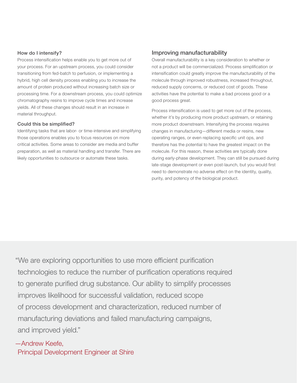#### How do I intensify?

Process intensification helps enable you to get more out of your process. For an upstream process, you could consider transitioning from fed-batch to perfusion, or implementing a hybrid, high cell density process enabling you to increase the amount of protein produced without increasing batch size or processing time. For a downstream process, you could optimize chromatography resins to improve cycle times and increase yields. All of these changes should result in an increase in material throughput.

#### Could this be simplified?

Identifying tasks that are labor- or time-intensive and simplifying those operations enables you to focus resources on more critical activities. Some areas to consider are media and buffer preparation, as well as material handling and transfer. There are likely opportunities to outsource or automate these tasks.

#### Improving manufacturability

Overall manufacturability is a key consideration to whether or not a product will be commercialized. Process simplification or intensification could greatly improve the manufacturability of the molecule through improved robustness, increased throughout, reduced supply concerns, or reduced cost of goods. These activities have the potential to make a bad process good or a good process great.

Process intensification is used to get more out of the process, whether it's by producing more product upstream, or retaining more product downstream. Intensifying the process requires changes in manufacturing—different media or resins, new operating ranges, or even replacing specific unit ops, and therefore has the potential to have the greatest impact on the molecule. For this reason, these activities are typically done during early-phase development. They can still be pursued during late-stage development or even post-launch, but you would first need to demonstrate no adverse effect on the identity, quality, purity, and potency of the biological product.

"We are exploring opportunities to use more efficient purification technologies to reduce the number of purification operations required to generate purified drug substance. Our ability to simplify processes improves likelihood for successful validation, reduced scope of process development and characterization, reduced number of manufacturing deviations and failed manufacturing campaigns, and improved yield."

## —Andrew Keefe,

Principal Development Engineer at Shire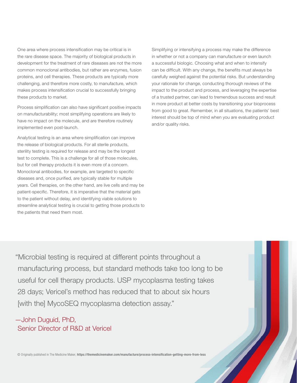One area where process intensification may be critical is in the rare disease space. The majority of biological products in development for the treatment of rare diseases are not the more common monoclonal antibodies, but rather are enzymes, fusion proteins, and cell therapies. These products are typically more challenging, and therefore more costly, to manufacture, which makes process intensification crucial to successfully bringing these products to market.

Process simplification can also have significant positive impacts on manufacturability; most simplifying operations are likely to have no impact on the molecule, and are therefore routinely implemented even post-launch.

Analytical testing is an area where simplification can improve the release of biological products. For all sterile products, sterility testing is required for release and may be the longest test to complete. This is a challenge for all of those molecules, but for cell therapy products it is even more of a concern. Monoclonal antibodies, for example, are targeted to specific diseases and, once purified, are typically stable for multiple years. Cell therapies, on the other hand, are live cells and may be patient-specific. Therefore, it is imperative that the material gets to the patient without delay, and identifying viable solutions to streamline analytical testing is crucial to getting those products to the patients that need them most.

Simplifying or intensifying a process may make the difference in whether or not a company can manufacture or even launch a successful biologic. Choosing what and when to intensify can be difficult. With any change, the benefits must always be carefully weighed against the potential risks. But understanding your rationale for change, conducting thorough reviews of the impact to the product and process, and leveraging the expertise of a trusted partner, can lead to tremendous success and result in more product at better costs by transitioning your bioprocess from good to great. Remember, in all situations, the patients' best interest should be top of mind when you are evaluating product and/or quality risks.

"Microbial testing is required at different points throughout a manufacturing process, but standard methods take too long to be useful for cell therapy products. USP mycoplasma testing takes 28 days; Vericel's method has reduced that to about six hours [with the] MycoSEQ mycoplasma detection assay."

### —John Duguid, PhD, Senior Director of R&D at Vericel

© Originally published in The Medicine Maker, <https://themedicinemaker.com/manufacture/process-intensification-getting-more-from-less>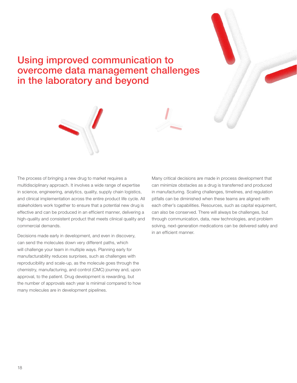### Using improved communication to overcome data management challenges in the laboratory and beyond



The process of bringing a new drug to market requires a multidisciplinary approach. It involves a wide range of expertise in science, engineering, analytics, quality, supply chain logistics, and clinical implementation across the entire product life cycle. All stakeholders work together to ensure that a potential new drug is effective and can be produced in an efficient manner, delivering a high-quality and consistent product that meets clinical quality and commercial demands.

Decisions made early in development, and even in discovery, can send the molecules down very different paths, which will challenge your team in multiple ways. Planning early for manufacturability reduces surprises, such as challenges with reproducibility and scale-up, as the molecule goes through the chemistry, manufacturing, and control (CMC) journey and, upon approval, to the patient. Drug development is rewarding, but the number of approvals each year is minimal compared to how many molecules are in development pipelines.

Many critical decisions are made in process development that can minimize obstacles as a drug is transferred and produced in manufacturing. Scaling challenges, timelines, and regulation pitfalls can be diminished when these teams are aligned with each other's capabilities. Resources, such as capital equipment, can also be conserved. There will always be challenges, but through communication, data, new technologies, and problem solving, next-generation medications can be delivered safely and in an efficient manner.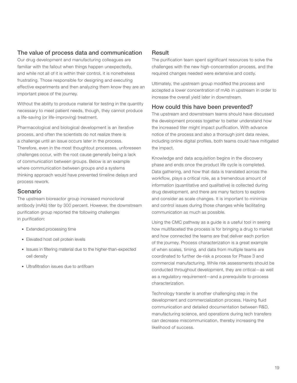#### The value of process data and communication

Our drug development and manufacturing colleagues are familiar with the fallout when things happen unexpectedly, and while not all of it is within their control, it is nonetheless frustrating. Those responsible for designing and executing effective experiments and then analyzing them know they are an important piece of the journey.

Without the ability to produce material for testing in the quantity necessary to meet patient needs, though, they cannot produce a life-saving (or life-improving) treatment.

Pharmacological and biological development is an iterative process, and often the scientists do not realize there is a challenge until an issue occurs later in the process. Therefore, even in the most thoughtout processes, unforeseen challenges occur, with the root cause generally being a lack of communication between groups. Below is an example where communication between groups and a systems thinking approach would have prevented timeline delays and process rework.

#### Scenario

The upstream bioreactor group increased monoclonal antibody (mAb) titer by 300 percent. However, the downstream purification group reported the following challenges in purification:

- Extended processing time
- Elevated host cell protein levels
- Issues in filtering material due to the higher-than-expected cell density
- Ultrafiltration issues due to antifoam

#### **Result**

The purification team spent significant resources to solve the challenges with the new high-concentration process, and the required changes needed were extensive and costly.

Ultimately, the upstream group modified the process and accepted a lower concentration of mAb in upstream in order to increase the overall yield later in downstream.

#### How could this have been prevented?

The upstream and downstream teams should have discussed the development process together to better understand how the increased titer might impact purification. With advance notice of the process and also a thorough joint data review, including online digital profiles, both teams could have mitigated the impact.

Knowledge and data acquisition begins in the discovery phase and ends once the product life cycle is completed. Data gathering, and how that data is translated across the workflow, plays a critical role, as a tremendous amount of information (quantitative and qualitative) is collected during drug development, and there are many factors to explore and consider as scale changes. It is important to minimize and control issues during those changes while facilitating communication as much as possible.

Using the CMC pathway as a guide is a useful tool in seeing how multifaceted the process is for bringing a drug to market and how connected the teams are that deliver each portion of the journey. Process characterization is a great example of when scales, timing, and data from multiple teams are coordinated to further de-risk a process for Phase 3 and commercial manufacturing. While risk assessments should be conducted throughout development, they are critical―as well as a regulatory requirement―and a prerequisite to process characterization.

Technology transfer is another challenging step in the development and commercialization process. Having fluid communication and detailed documentation between R&D, manufacturing science, and operations during tech transfers can decrease miscommunication, thereby increasing the likelihood of success.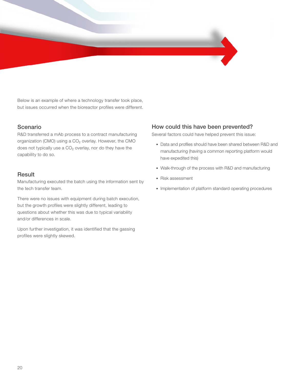Below is an example of where a technology transfer took place, but issues occurred when the bioreactor profiles were different.

#### Scenario

R&D transferred a mAb process to a contract manufacturing organization (CMO) using a CO<sub>2</sub> overlay. However, the CMO does not typically use a CO₂ overlay, nor do they have the capability to do so.

#### **Result**

Manufacturing executed the batch using the information sent by the tech transfer team.

There were no issues with equipment during batch execution, but the growth profiles were slightly different, leading to questions about whether this was due to typical variability and/or differences in scale.

Upon further investigation, it was identified that the gassing profiles were slightly skewed.

#### How could this have been prevented?

Several factors could have helped prevent this issue:

- Data and profiles should have been shared between R&D and manufacturing (having a common reporting platform would have expedited this)
- Walk-through of the process with R&D and manufacturing
- Risk assessment
- Implementation of platform standard operating procedures